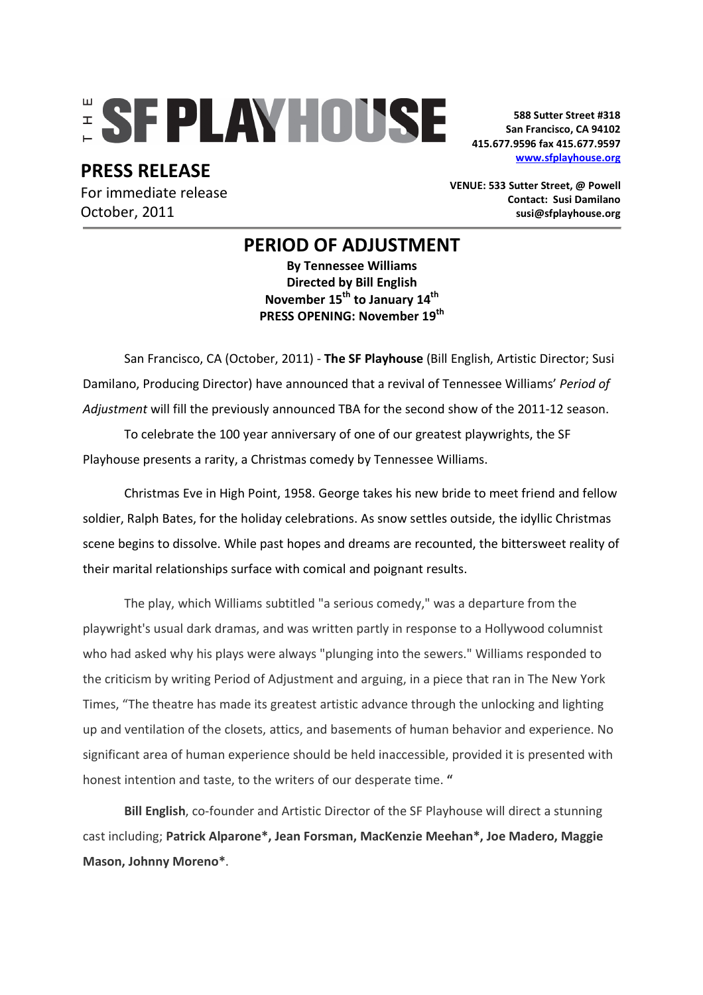# **ESFPLAYHOUSE**

**PRESS RELEASE** 

For immediate release October, 2011

**588 Sutter Street #318 San Francisco, CA 94102 415.677.9596 fax 415.677.9597 www.sfplayhouse.org**

**VENUE: 533 Sutter Street, @ Powell Contact: Susi Damilano susi@sfplayhouse.org** 

## **PERIOD OF ADJUSTMENT**

**By Tennessee Williams Directed by Bill English November 15th to January 14th PRESS OPENING: November 19th**

San Francisco, CA (October, 2011) - **The SF Playhouse** (Bill English, Artistic Director; Susi Damilano, Producing Director) have announced that a revival of Tennessee Williams' *Period of Adjustment* will fill the previously announced TBA for the second show of the 2011-12 season.

To celebrate the 100 year anniversary of one of our greatest playwrights, the SF Playhouse presents a rarity, a Christmas comedy by Tennessee Williams.

Christmas Eve in High Point, 1958. George takes his new bride to meet friend and fellow soldier, Ralph Bates, for the holiday celebrations. As snow settles outside, the idyllic Christmas scene begins to dissolve. While past hopes and dreams are recounted, the bittersweet reality of their marital relationships surface with comical and poignant results.

The play, which Williams subtitled "a serious comedy," was a departure from the playwright's usual dark dramas, and was written partly in response to a Hollywood columnist who had asked why his plays were always "plunging into the sewers." Williams responded to the criticism by writing Period of Adjustment and arguing, in a piece that ran in The New York Times, "The theatre has made its greatest artistic advance through the unlocking and lighting up and ventilation of the closets, attics, and basements of human behavior and experience. No significant area of human experience should be held inaccessible, provided it is presented with honest intention and taste, to the writers of our desperate time. **"**

**Bill English**, co-founder and Artistic Director of the SF Playhouse will direct a stunning cast including; **Patrick Alparone\*, Jean Forsman, MacKenzie Meehan\*, Joe Madero, Maggie Mason, Johnny Moreno\***.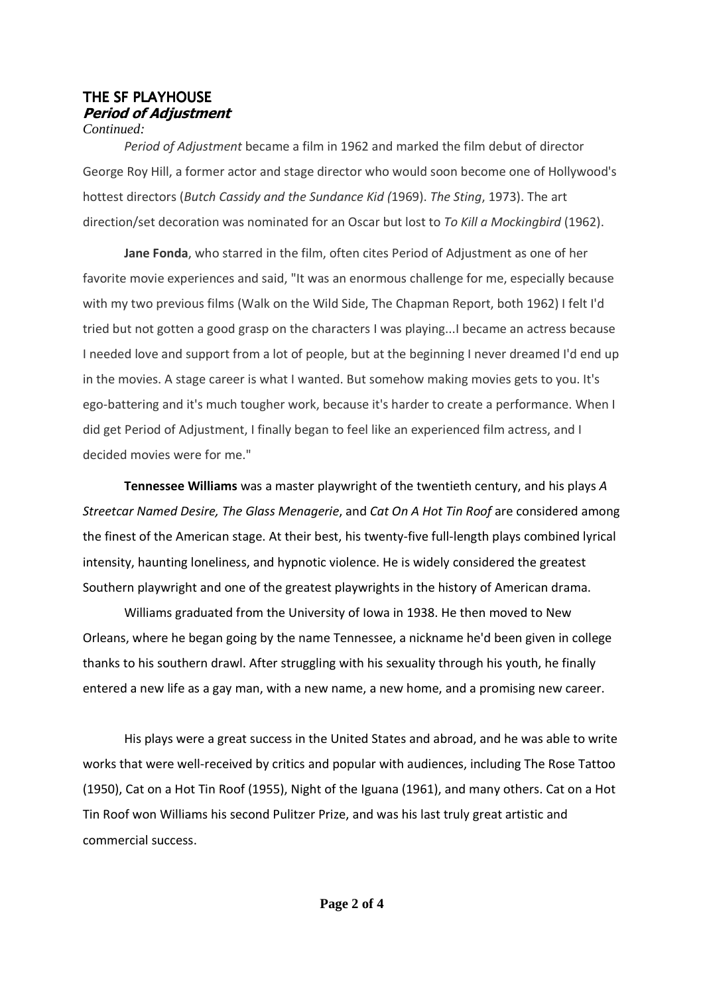#### THE SF PLAYHOUSE **Period of Adjustment**  *Continued:*

*Period of Adjustment* became a film in 1962 and marked the film debut of director George Roy Hill, a former actor and stage director who would soon become one of Hollywood's hottest directors (*Butch Cassidy and the Sundance Kid (*1969). *The Sting*, 1973). The art direction/set decoration was nominated for an Oscar but lost to *To Kill a Mockingbird* (1962).

**Jane Fonda**, who starred in the film, often cites Period of Adjustment as one of her favorite movie experiences and said, "It was an enormous challenge for me, especially because with my two previous films (Walk on the Wild Side, The Chapman Report, both 1962) I felt I'd tried but not gotten a good grasp on the characters I was playing...I became an actress because I needed love and support from a lot of people, but at the beginning I never dreamed I'd end up in the movies. A stage career is what I wanted. But somehow making movies gets to you. It's ego-battering and it's much tougher work, because it's harder to create a performance. When I did get Period of Adjustment, I finally began to feel like an experienced film actress, and I decided movies were for me."

**Tennessee Williams** was a master playwright of the twentieth century, and his plays *A Streetcar Named Desire, The Glass Menagerie*, and *Cat On A Hot Tin Roof* are considered among the finest of the American stage. At their best, his twenty-five full-length plays combined lyrical intensity, haunting loneliness, and hypnotic violence. He is widely considered the greatest Southern playwright and one of the greatest playwrights in the history of American drama.

Williams graduated from the University of Iowa in 1938. He then moved to New Orleans, where he began going by the name Tennessee, a nickname he'd been given in college thanks to his southern drawl. After struggling with his sexuality through his youth, he finally entered a new life as a gay man, with a new name, a new home, and a promising new career.

His plays were a great success in the United States and abroad, and he was able to write works that were well-received by critics and popular with audiences, including The Rose Tattoo (1950), Cat on a Hot Tin Roof (1955), Night of the Iguana (1961), and many others. Cat on a Hot Tin Roof won Williams his second Pulitzer Prize, and was his last truly great artistic and commercial success.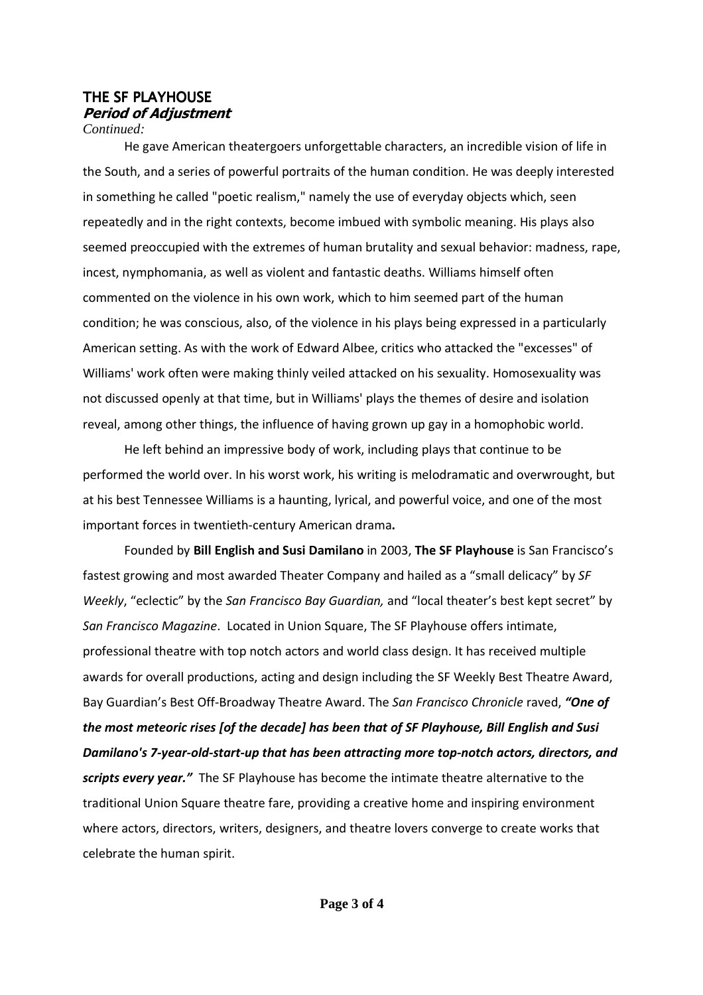## THE SF PLAYHOUSE **Period of Adjustment**

*Continued:*

He gave American theatergoers unforgettable characters, an incredible vision of life in the South, and a series of powerful portraits of the human condition. He was deeply interested in something he called "poetic realism," namely the use of everyday objects which, seen repeatedly and in the right contexts, become imbued with symbolic meaning. His plays also seemed preoccupied with the extremes of human brutality and sexual behavior: madness, rape, incest, nymphomania, as well as violent and fantastic deaths. Williams himself often commented on the violence in his own work, which to him seemed part of the human condition; he was conscious, also, of the violence in his plays being expressed in a particularly American setting. As with the work of Edward Albee, critics who attacked the "excesses" of Williams' work often were making thinly veiled attacked on his sexuality. Homosexuality was not discussed openly at that time, but in Williams' plays the themes of desire and isolation reveal, among other things, the influence of having grown up gay in a homophobic world.

He left behind an impressive body of work, including plays that continue to be performed the world over. In his worst work, his writing is melodramatic and overwrought, but at his best Tennessee Williams is a haunting, lyrical, and powerful voice, and one of the most important forces in twentieth-century American drama**.** 

Founded by **Bill English and Susi Damilano** in 2003, **The SF Playhouse** is San Francisco's fastest growing and most awarded Theater Company and hailed as a "small delicacy" by *SF Weekly*, "eclectic" by the *San Francisco Bay Guardian,* and "local theater's best kept secret" by *San Francisco Magazine*. Located in Union Square, The SF Playhouse offers intimate, professional theatre with top notch actors and world class design. It has received multiple awards for overall productions, acting and design including the SF Weekly Best Theatre Award, Bay Guardian's Best Off-Broadway Theatre Award. The *San Francisco Chronicle* raved, *"One of the most meteoric rises [of the decade] has been that of SF Playhouse, Bill English and Susi Damilano's 7-year-old-start-up that has been attracting more top-notch actors, directors, and scripts every year."* The SF Playhouse has become the intimate theatre alternative to the traditional Union Square theatre fare, providing a creative home and inspiring environment where actors, directors, writers, designers, and theatre lovers converge to create works that celebrate the human spirit.